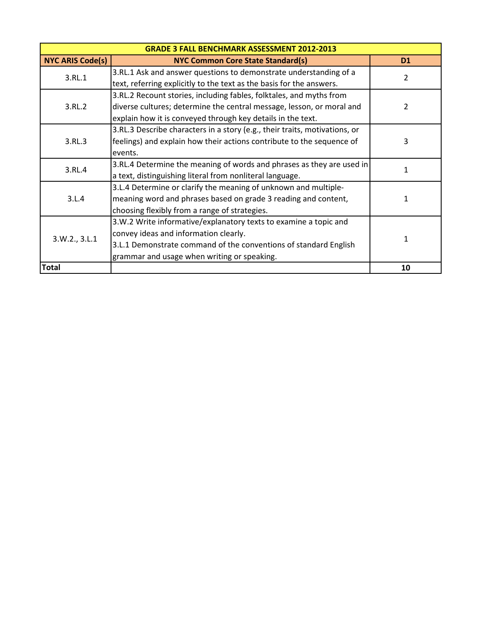| <b>GRADE 3 FALL BENCHMARK ASSESSMENT 2012-2013</b> |                                                                            |           |
|----------------------------------------------------|----------------------------------------------------------------------------|-----------|
| <b>NYC ARIS Code(s)</b>                            | <b>NYC Common Core State Standard(s)</b>                                   | <b>D1</b> |
| 3.RL.1                                             | 3.RL.1 Ask and answer questions to demonstrate understanding of a          | 2         |
|                                                    | text, referring explicitly to the text as the basis for the answers.       |           |
|                                                    | 3.RL.2 Recount stories, including fables, folktales, and myths from        |           |
| 3.RL.2                                             | diverse cultures; determine the central message, lesson, or moral and      | 2         |
|                                                    | explain how it is conveyed through key details in the text.                |           |
|                                                    | 3.RL.3 Describe characters in a story (e.g., their traits, motivations, or |           |
| 3.RL.3                                             | feelings) and explain how their actions contribute to the sequence of      | 3         |
|                                                    | events.                                                                    |           |
| 3.RL.4                                             | 3.RL.4 Determine the meaning of words and phrases as they are used in      | 1         |
|                                                    | a text, distinguishing literal from nonliteral language.                   |           |
| 3.L.4                                              | 3.L.4 Determine or clarify the meaning of unknown and multiple-            |           |
|                                                    | meaning word and phrases based on grade 3 reading and content,             |           |
|                                                    | choosing flexibly from a range of strategies.                              |           |
| 3.W.2., 3.L.1                                      | 3.W.2 Write informative/explanatory texts to examine a topic and           |           |
|                                                    | convey ideas and information clearly.                                      | 1         |
|                                                    | 3.L.1 Demonstrate command of the conventions of standard English           |           |
|                                                    | grammar and usage when writing or speaking.                                |           |
| <b>Total</b>                                       |                                                                            | 10        |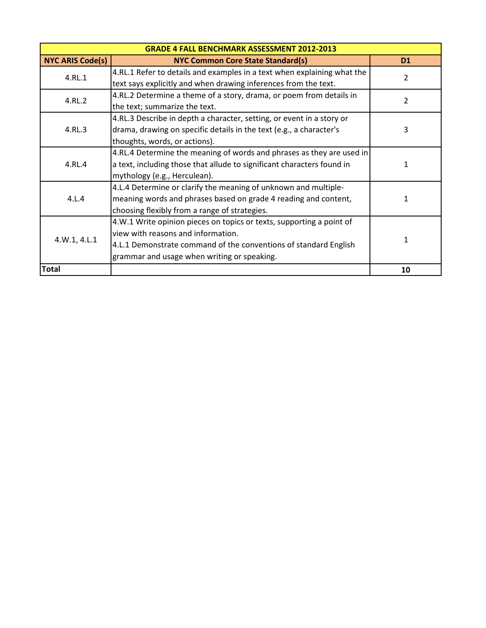| <b>GRADE 4 FALL BENCHMARK ASSESSMENT 2012-2013</b> |                                                                         |                |
|----------------------------------------------------|-------------------------------------------------------------------------|----------------|
| <b>NYC ARIS Code(s)</b>                            | <b>NYC Common Core State Standard(s)</b>                                | D <sub>1</sub> |
| 4.RL.1                                             | 4.RL.1 Refer to details and examples in a text when explaining what the | 2              |
|                                                    | text says explicitly and when drawing inferences from the text.         |                |
| 4.RL.2                                             | 4.RL.2 Determine a theme of a story, drama, or poem from details in     | 2              |
|                                                    | the text; summarize the text.                                           |                |
|                                                    | 4.RL.3 Describe in depth a character, setting, or event in a story or   |                |
| 4.RL.3                                             | drama, drawing on specific details in the text (e.g., a character's     | 3              |
|                                                    | thoughts, words, or actions).                                           |                |
|                                                    | 4.RL.4 Determine the meaning of words and phrases as they are used in   | 1              |
| 4.RL.4                                             | a text, including those that allude to significant characters found in  |                |
|                                                    | mythology (e.g., Herculean).                                            |                |
|                                                    | 4.L.4 Determine or clarify the meaning of unknown and multiple-         |                |
| 4.L.4                                              | meaning words and phrases based on grade 4 reading and content,         | 1              |
|                                                    | choosing flexibly from a range of strategies.                           |                |
| 4.W.1, 4.L.1                                       | 4.W.1 Write opinion pieces on topics or texts, supporting a point of    |                |
|                                                    | view with reasons and information.                                      | 1              |
|                                                    | 4.L.1 Demonstrate command of the conventions of standard English        |                |
|                                                    | grammar and usage when writing or speaking.                             |                |
| <b>Total</b>                                       |                                                                         | 10             |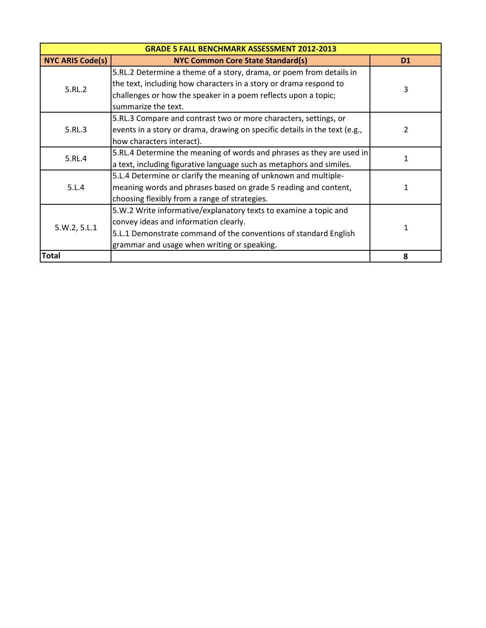| <b>GRADE 5 FALL BENCHMARK ASSESSMENT 2012-2013</b> |                                                                            |           |
|----------------------------------------------------|----------------------------------------------------------------------------|-----------|
| <b>NYC ARIS Code(s)</b>                            | <b>NYC Common Core State Standard(s)</b>                                   | <b>D1</b> |
| 5.RL.2                                             | 5.RL.2 Determine a theme of a story, drama, or poem from details in        |           |
|                                                    | the text, including how characters in a story or drama respond to          | 3         |
|                                                    | challenges or how the speaker in a poem reflects upon a topic;             |           |
|                                                    | summarize the text.                                                        |           |
|                                                    | 5.RL.3 Compare and contrast two or more characters, settings, or           |           |
| 5.RL.3                                             | events in a story or drama, drawing on specific details in the text (e.g., | 2         |
|                                                    | how characters interact).                                                  |           |
|                                                    | 5.RL.4 Determine the meaning of words and phrases as they are used in      | 1         |
| 5.RL.4                                             | a text, including figurative language such as metaphors and similes.       |           |
| 5.L.4                                              | 5.L.4 Determine or clarify the meaning of unknown and multiple-            |           |
|                                                    | meaning words and phrases based on grade 5 reading and content,            | 1         |
|                                                    | choosing flexibly from a range of strategies.                              |           |
| 5.W.2, 5.L.1                                       | 5.W.2 Write informative/explanatory texts to examine a topic and           |           |
|                                                    | convey ideas and information clearly.                                      | 1         |
|                                                    | 5.L.1 Demonstrate command of the conventions of standard English           |           |
|                                                    | grammar and usage when writing or speaking.                                |           |
| <b>Total</b>                                       |                                                                            | 8         |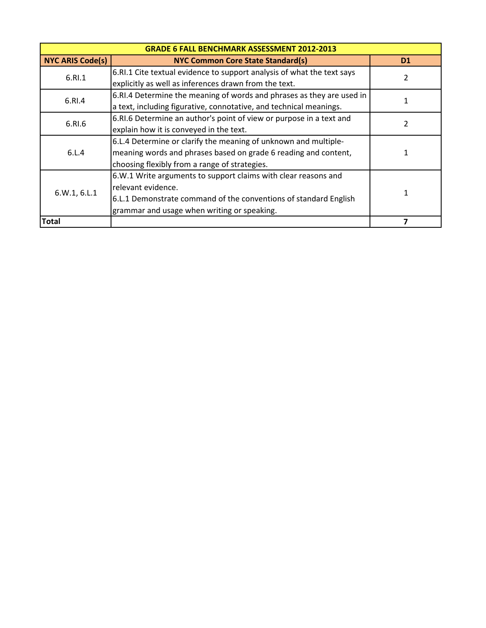| <b>GRADE 6 FALL BENCHMARK ASSESSMENT 2012-2013</b> |                                                                        |                |
|----------------------------------------------------|------------------------------------------------------------------------|----------------|
| <b>NYC ARIS Code(s)</b>                            | <b>NYC Common Core State Standard(s)</b>                               | D <sub>1</sub> |
| 6.RI.1                                             | 6.RI.1 Cite textual evidence to support analysis of what the text says | 2              |
|                                                    | explicitly as well as inferences drawn from the text.                  |                |
| 6.RI.4                                             | 6.RI.4 Determine the meaning of words and phrases as they are used in  |                |
|                                                    | a text, including figurative, connotative, and technical meanings.     |                |
| 6.RI.6                                             | 6.RI.6 Determine an author's point of view or purpose in a text and    | 2              |
|                                                    | explain how it is conveyed in the text.                                |                |
|                                                    | 6.L.4 Determine or clarify the meaning of unknown and multiple-        |                |
| 6.L.4                                              | meaning words and phrases based on grade 6 reading and content,        |                |
|                                                    | choosing flexibly from a range of strategies.                          |                |
| 6.W.1, 6.L.1                                       | 6.W.1 Write arguments to support claims with clear reasons and         |                |
|                                                    | relevant evidence.                                                     |                |
|                                                    | 6.L.1 Demonstrate command of the conventions of standard English       |                |
|                                                    | grammar and usage when writing or speaking.                            |                |
| <b>Total</b>                                       |                                                                        |                |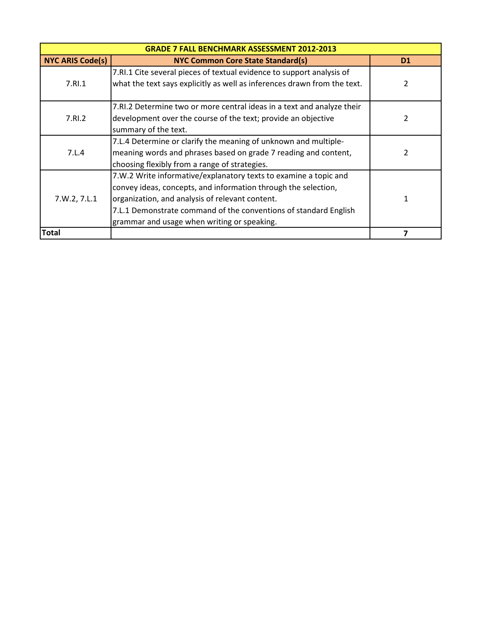| <b>GRADE 7 FALL BENCHMARK ASSESSMENT 2012-2013</b> |                                                                          |                |
|----------------------------------------------------|--------------------------------------------------------------------------|----------------|
| <b>NYC ARIS Code(s)</b>                            | <b>NYC Common Core State Standard(s)</b>                                 | D <sub>1</sub> |
| 7.RI.1                                             | 7.RI.1 Cite several pieces of textual evidence to support analysis of    |                |
|                                                    | what the text says explicitly as well as inferences drawn from the text. | 2              |
|                                                    |                                                                          |                |
|                                                    | 7.RI.2 Determine two or more central ideas in a text and analyze their   |                |
| 7.RI.2                                             | development over the course of the text; provide an objective            | 2              |
|                                                    | summary of the text.                                                     |                |
| 7.L.4                                              | 7.L.4 Determine or clarify the meaning of unknown and multiple-          |                |
|                                                    | meaning words and phrases based on grade 7 reading and content,          | 2              |
|                                                    | choosing flexibly from a range of strategies.                            |                |
| 7.W.2, 7.L.1                                       | 7.W.2 Write informative/explanatory texts to examine a topic and         |                |
|                                                    | convey ideas, concepts, and information through the selection,           |                |
|                                                    | organization, and analysis of relevant content.                          | 1              |
|                                                    | 7.L.1 Demonstrate command of the conventions of standard English         |                |
|                                                    | grammar and usage when writing or speaking.                              |                |
| <b>Total</b>                                       |                                                                          |                |